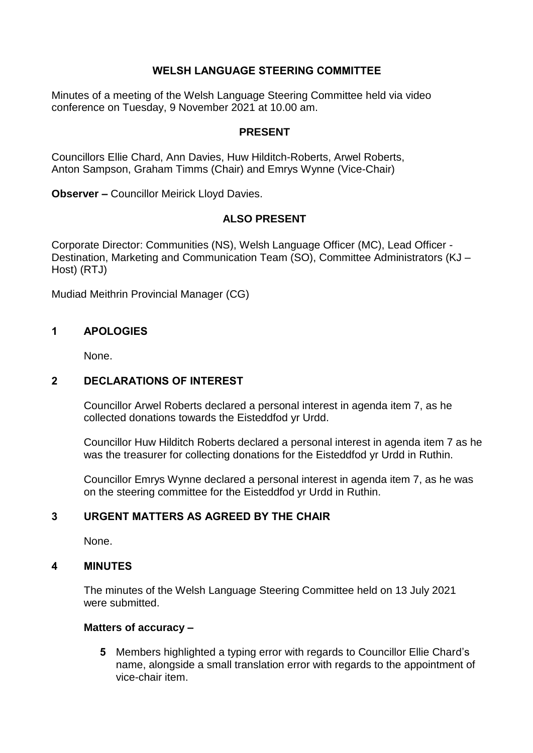## **WELSH LANGUAGE STEERING COMMITTEE**

Minutes of a meeting of the Welsh Language Steering Committee held via video conference on Tuesday, 9 November 2021 at 10.00 am.

#### **PRESENT**

Councillors Ellie Chard, Ann Davies, Huw Hilditch-Roberts, Arwel Roberts, Anton Sampson, Graham Timms (Chair) and Emrys Wynne (Vice-Chair)

**Observer –** Councillor Meirick Lloyd Davies.

#### **ALSO PRESENT**

Corporate Director: Communities (NS), Welsh Language Officer (MC), Lead Officer - Destination, Marketing and Communication Team (SO), Committee Administrators (KJ – Host) (RTJ)

Mudiad Meithrin Provincial Manager (CG)

#### **1 APOLOGIES**

None.

## **2 DECLARATIONS OF INTEREST**

Councillor Arwel Roberts declared a personal interest in agenda item 7, as he collected donations towards the Eisteddfod yr Urdd.

Councillor Huw Hilditch Roberts declared a personal interest in agenda item 7 as he was the treasurer for collecting donations for the Eisteddfod yr Urdd in Ruthin.

Councillor Emrys Wynne declared a personal interest in agenda item 7, as he was on the steering committee for the Eisteddfod yr Urdd in Ruthin.

## **3 URGENT MATTERS AS AGREED BY THE CHAIR**

None.

### **4 MINUTES**

The minutes of the Welsh Language Steering Committee held on 13 July 2021 were submitted.

#### **Matters of accuracy –**

**5** Members highlighted a typing error with regards to Councillor Ellie Chard's name, alongside a small translation error with regards to the appointment of vice-chair item.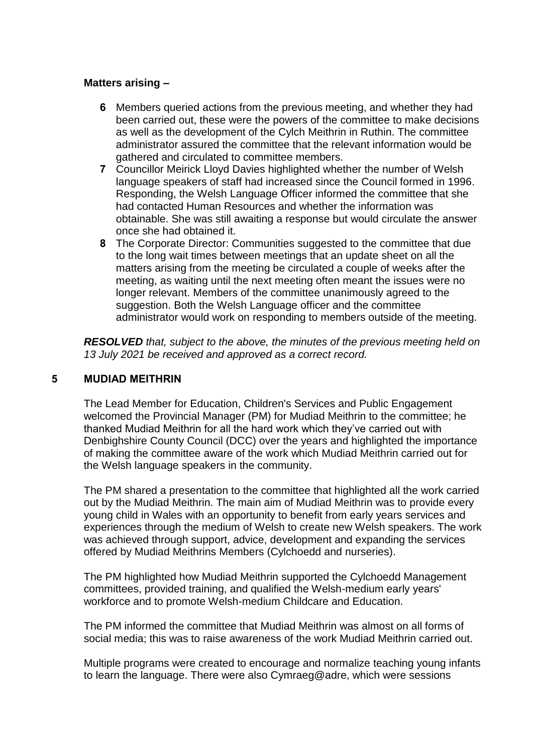### **Matters arising –**

- **6** Members queried actions from the previous meeting, and whether they had been carried out, these were the powers of the committee to make decisions as well as the development of the Cylch Meithrin in Ruthin. The committee administrator assured the committee that the relevant information would be gathered and circulated to committee members.
- **7** Councillor Meirick Lloyd Davies highlighted whether the number of Welsh language speakers of staff had increased since the Council formed in 1996. Responding, the Welsh Language Officer informed the committee that she had contacted Human Resources and whether the information was obtainable. She was still awaiting a response but would circulate the answer once she had obtained it.
- **8** The Corporate Director: Communities suggested to the committee that due to the long wait times between meetings that an update sheet on all the matters arising from the meeting be circulated a couple of weeks after the meeting, as waiting until the next meeting often meant the issues were no longer relevant. Members of the committee unanimously agreed to the suggestion. Both the Welsh Language officer and the committee administrator would work on responding to members outside of the meeting.

*RESOLVED that, subject to the above, the minutes of the previous meeting held on 13 July 2021 be received and approved as a correct record.*

### **5 MUDIAD MEITHRIN**

The Lead Member for Education, Children's Services and Public Engagement welcomed the Provincial Manager (PM) for Mudiad Meithrin to the committee; he thanked Mudiad Meithrin for all the hard work which they've carried out with Denbighshire County Council (DCC) over the years and highlighted the importance of making the committee aware of the work which Mudiad Meithrin carried out for the Welsh language speakers in the community.

The PM shared a presentation to the committee that highlighted all the work carried out by the Mudiad Meithrin. The main aim of Mudiad Meithrin was to provide every young child in Wales with an opportunity to benefit from early years services and experiences through the medium of Welsh to create new Welsh speakers. The work was achieved through support, advice, development and expanding the services offered by Mudiad Meithrins Members (Cylchoedd and nurseries).

The PM highlighted how Mudiad Meithrin supported the Cylchoedd Management committees, provided training, and qualified the Welsh-medium early years' workforce and to promote Welsh-medium Childcare and Education.

The PM informed the committee that Mudiad Meithrin was almost on all forms of social media; this was to raise awareness of the work Mudiad Meithrin carried out.

Multiple programs were created to encourage and normalize teaching young infants to learn the language. There were also Cymraeg@adre, which were sessions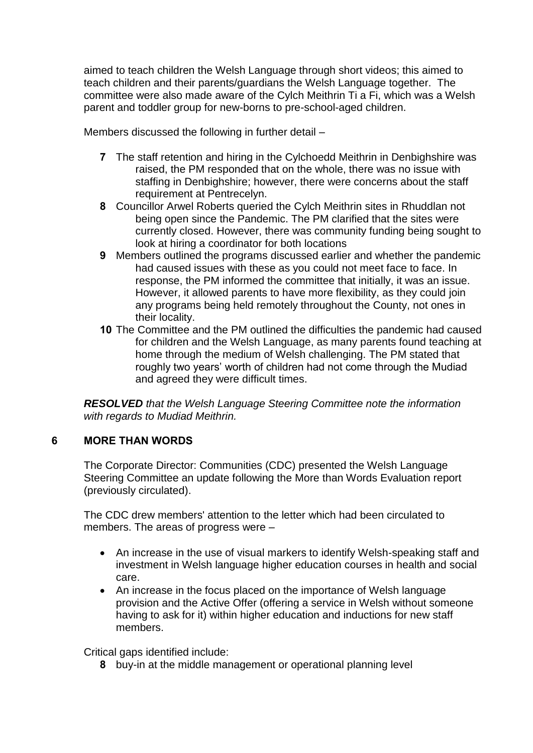aimed to teach children the Welsh Language through short videos; this aimed to teach children and their parents/guardians the Welsh Language together. The committee were also made aware of the Cylch Meithrin Ti a Fi, which was a Welsh parent and toddler group for new-borns to pre-school-aged children.

Members discussed the following in further detail –

- **7** The staff retention and hiring in the Cylchoedd Meithrin in Denbighshire was raised, the PM responded that on the whole, there was no issue with staffing in Denbighshire; however, there were concerns about the staff requirement at Pentrecelyn.
- **8** Councillor Arwel Roberts queried the Cylch Meithrin sites in Rhuddlan not being open since the Pandemic. The PM clarified that the sites were currently closed. However, there was community funding being sought to look at hiring a coordinator for both locations
- **9** Members outlined the programs discussed earlier and whether the pandemic had caused issues with these as you could not meet face to face. In response, the PM informed the committee that initially, it was an issue. However, it allowed parents to have more flexibility, as they could join any programs being held remotely throughout the County, not ones in their locality.
- **10** The Committee and the PM outlined the difficulties the pandemic had caused for children and the Welsh Language, as many parents found teaching at home through the medium of Welsh challenging. The PM stated that roughly two years' worth of children had not come through the Mudiad and agreed they were difficult times.

*RESOLVED that the Welsh Language Steering Committee note the information with regards to Mudiad Meithrin.*

# **6 MORE THAN WORDS**

The Corporate Director: Communities (CDC) presented the Welsh Language Steering Committee an update following the More than Words Evaluation report (previously circulated).

The CDC drew members' attention to the letter which had been circulated to members. The areas of progress were –

- An increase in the use of visual markers to identify Welsh-speaking staff and investment in Welsh language higher education courses in health and social care.
- An increase in the focus placed on the importance of Welsh language provision and the Active Offer (offering a service in Welsh without someone having to ask for it) within higher education and inductions for new staff members.

Critical gaps identified include:

**8** buy-in at the middle management or operational planning level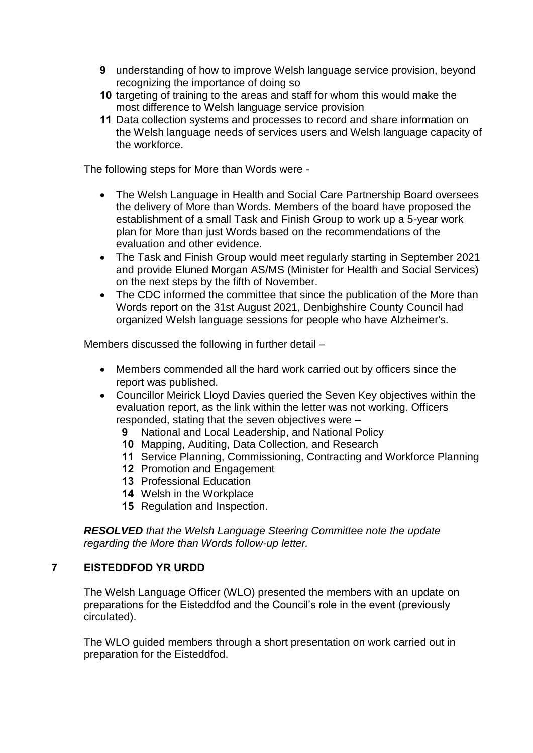- **9** understanding of how to improve Welsh language service provision, beyond recognizing the importance of doing so
- **10** targeting of training to the areas and staff for whom this would make the most difference to Welsh language service provision
- **11** Data collection systems and processes to record and share information on the Welsh language needs of services users and Welsh language capacity of the workforce.

The following steps for More than Words were -

- The Welsh Language in Health and Social Care Partnership Board oversees the delivery of More than Words. Members of the board have proposed the establishment of a small Task and Finish Group to work up a 5-year work plan for More than just Words based on the recommendations of the evaluation and other evidence.
- The Task and Finish Group would meet regularly starting in September 2021 and provide Eluned Morgan AS/MS (Minister for Health and Social Services) on the next steps by the fifth of November.
- The CDC informed the committee that since the publication of the More than Words report on the 31st August 2021, Denbighshire County Council had organized Welsh language sessions for people who have Alzheimer's.

Members discussed the following in further detail –

- Members commended all the hard work carried out by officers since the report was published.
- Councillor Meirick Lloyd Davies queried the Seven Key objectives within the evaluation report, as the link within the letter was not working. Officers responded, stating that the seven objectives were –
	- **9** National and Local Leadership, and National Policy
	- **10** Mapping, Auditing, Data Collection, and Research
	- **11** Service Planning, Commissioning, Contracting and Workforce Planning
	- **12** Promotion and Engagement
	- **13** Professional Education
	- **14** Welsh in the Workplace
	- **15** Regulation and Inspection.

*RESOLVED that the Welsh Language Steering Committee note the update regarding the More than Words follow-up letter.*

#### **7 EISTEDDFOD YR URDD**

The Welsh Language Officer (WLO) presented the members with an update on preparations for the Eisteddfod and the Council's role in the event (previously circulated).

The WLO guided members through a short presentation on work carried out in preparation for the Eisteddfod.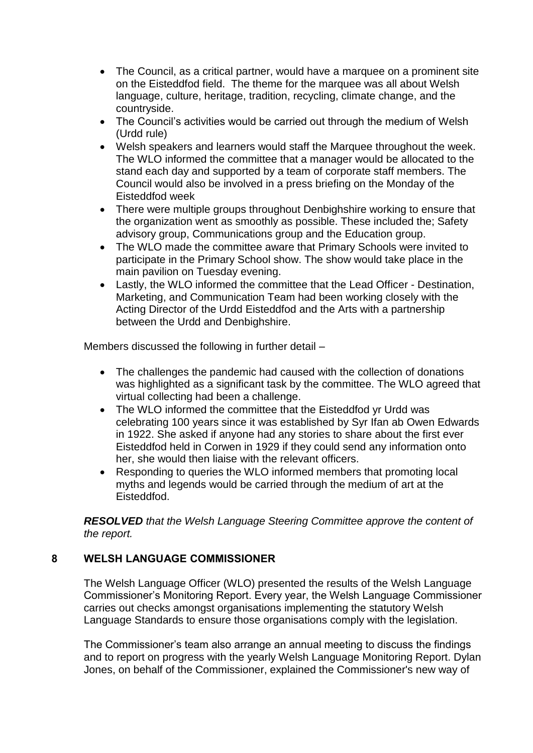- The Council, as a critical partner, would have a marquee on a prominent site on the Eisteddfod field. The theme for the marquee was all about Welsh language, culture, heritage, tradition, recycling, climate change, and the countryside.
- The Council's activities would be carried out through the medium of Welsh (Urdd rule)
- Welsh speakers and learners would staff the Marquee throughout the week. The WLO informed the committee that a manager would be allocated to the stand each day and supported by a team of corporate staff members. The Council would also be involved in a press briefing on the Monday of the Eisteddfod week
- There were multiple groups throughout Denbighshire working to ensure that the organization went as smoothly as possible. These included the; Safety advisory group, Communications group and the Education group.
- The WLO made the committee aware that Primary Schools were invited to participate in the Primary School show. The show would take place in the main pavilion on Tuesday evening.
- Lastly, the WLO informed the committee that the Lead Officer Destination, Marketing, and Communication Team had been working closely with the Acting Director of the Urdd Eisteddfod and the Arts with a partnership between the Urdd and Denbighshire.

Members discussed the following in further detail –

- The challenges the pandemic had caused with the collection of donations was highlighted as a significant task by the committee. The WLO agreed that virtual collecting had been a challenge.
- The WLO informed the committee that the Eisteddfod vr Urdd was celebrating 100 years since it was established by Syr Ifan ab Owen Edwards in 1922. She asked if anyone had any stories to share about the first ever Eisteddfod held in Corwen in 1929 if they could send any information onto her, she would then liaise with the relevant officers.
- Responding to queries the WLO informed members that promoting local myths and legends would be carried through the medium of art at the Eisteddfod.

*RESOLVED that the Welsh Language Steering Committee approve the content of the report.*

# **8 WELSH LANGUAGE COMMISSIONER**

The Welsh Language Officer (WLO) presented the results of the Welsh Language Commissioner's Monitoring Report. Every year, the Welsh Language Commissioner carries out checks amongst organisations implementing the statutory Welsh Language Standards to ensure those organisations comply with the legislation.

The Commissioner's team also arrange an annual meeting to discuss the findings and to report on progress with the yearly Welsh Language Monitoring Report. Dylan Jones, on behalf of the Commissioner, explained the Commissioner's new way of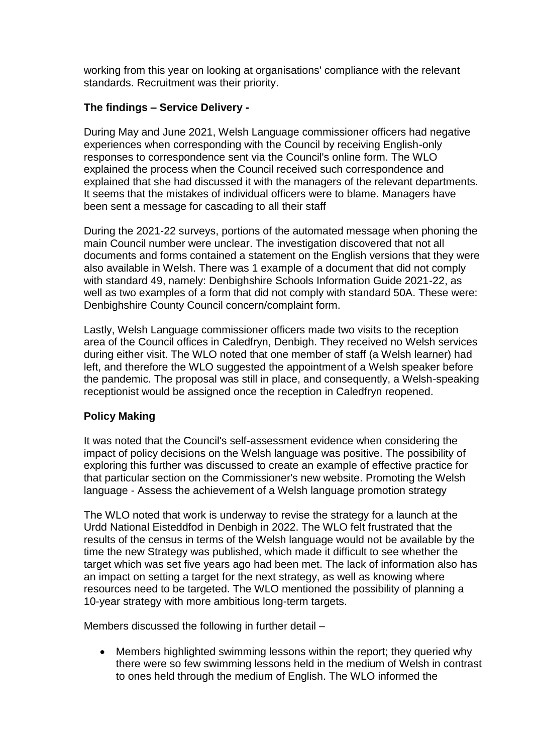working from this year on looking at organisations' compliance with the relevant standards. Recruitment was their priority.

# **The findings – Service Delivery -**

During May and June 2021, Welsh Language commissioner officers had negative experiences when corresponding with the Council by receiving English-only responses to correspondence sent via the Council's online form. The WLO explained the process when the Council received such correspondence and explained that she had discussed it with the managers of the relevant departments. It seems that the mistakes of individual officers were to blame. Managers have been sent a message for cascading to all their staff

During the 2021-22 surveys, portions of the automated message when phoning the main Council number were unclear. The investigation discovered that not all documents and forms contained a statement on the English versions that they were also available in Welsh. There was 1 example of a document that did not comply with standard 49, namely: Denbighshire Schools Information Guide 2021-22, as well as two examples of a form that did not comply with standard 50A. These were: Denbighshire County Council concern/complaint form.

Lastly, Welsh Language commissioner officers made two visits to the reception area of the Council offices in Caledfryn, Denbigh. They received no Welsh services during either visit. The WLO noted that one member of staff (a Welsh learner) had left, and therefore the WLO suggested the appointment of a Welsh speaker before the pandemic. The proposal was still in place, and consequently, a Welsh-speaking receptionist would be assigned once the reception in Caledfryn reopened.

# **Policy Making**

It was noted that the Council's self-assessment evidence when considering the impact of policy decisions on the Welsh language was positive. The possibility of exploring this further was discussed to create an example of effective practice for that particular section on the Commissioner's new website. Promoting the Welsh language - Assess the achievement of a Welsh language promotion strategy

The WLO noted that work is underway to revise the strategy for a launch at the Urdd National Eisteddfod in Denbigh in 2022. The WLO felt frustrated that the results of the census in terms of the Welsh language would not be available by the time the new Strategy was published, which made it difficult to see whether the target which was set five years ago had been met. The lack of information also has an impact on setting a target for the next strategy, as well as knowing where resources need to be targeted. The WLO mentioned the possibility of planning a 10-year strategy with more ambitious long-term targets.

Members discussed the following in further detail –

 Members highlighted swimming lessons within the report; they queried why there were so few swimming lessons held in the medium of Welsh in contrast to ones held through the medium of English. The WLO informed the